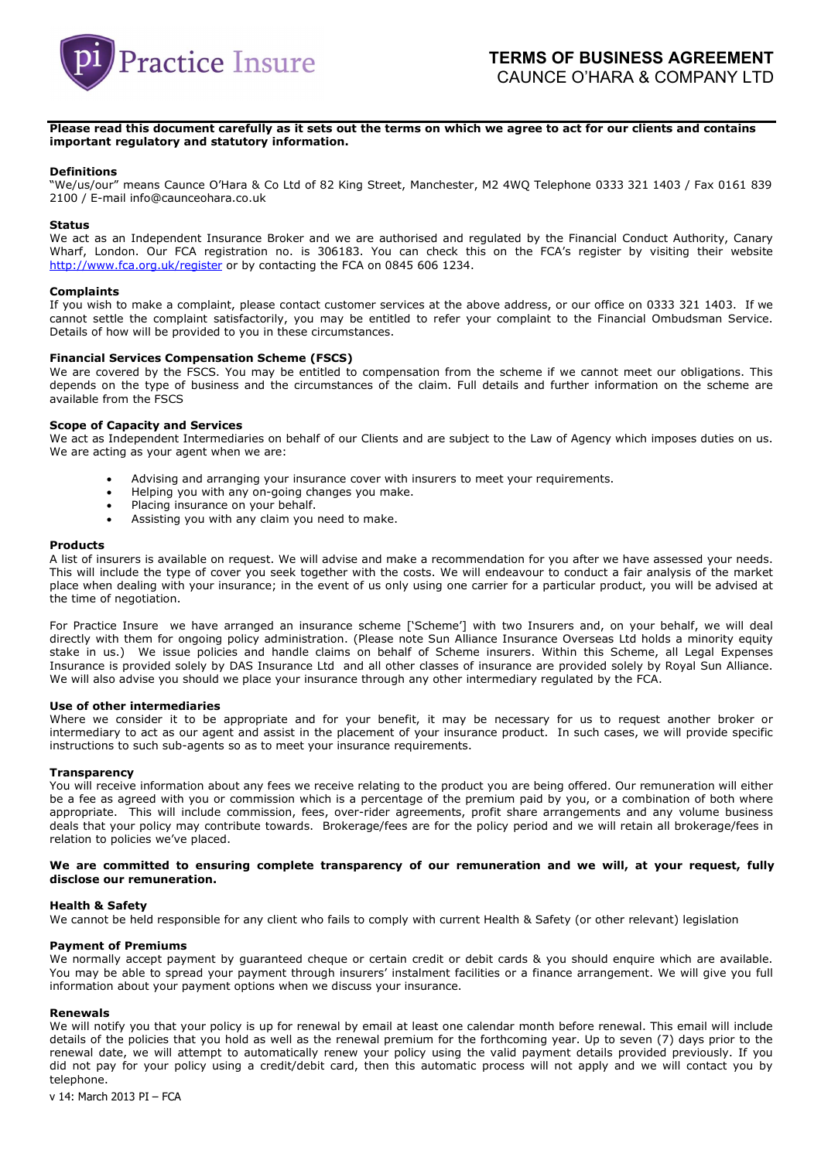

# Please read this document carefully as it sets out the terms on which we agree to act for our clients and contains important regulatory and statutory information.

### Definitions

"We/us/our" means Caunce O'Hara & Co Ltd of 82 King Street, Manchester, M2 4WQ Telephone 0333 321 1403 / Fax 0161 839 2100 / E-mail info@caunceohara.co.uk

# Status

We act as an Independent Insurance Broker and we are authorised and regulated by the Financial Conduct Authority, Canary Wharf, London. Our FCA registration no. is 306183. You can check this on the FCA's register by visiting their website http://www.fca.org.uk/register or by contacting the FCA on 0845 606 1234.

### **Complaints**

If you wish to make a complaint, please contact customer services at the above address, or our office on 0333 321 1403. If we cannot settle the complaint satisfactorily, you may be entitled to refer your complaint to the Financial Ombudsman Service. Details of how will be provided to you in these circumstances.

# Financial Services Compensation Scheme (FSCS)

We are covered by the FSCS. You may be entitled to compensation from the scheme if we cannot meet our obligations. This depends on the type of business and the circumstances of the claim. Full details and further information on the scheme are available from the FSCS

# Scope of Capacity and Services

We act as Independent Intermediaries on behalf of our Clients and are subject to the Law of Agency which imposes duties on us. We are acting as your agent when we are:

- Advising and arranging your insurance cover with insurers to meet your requirements.
- Helping you with any on-going changes you make.
- Placing insurance on your behalf.
- Assisting you with any claim you need to make.

# **Products**

A list of insurers is available on request. We will advise and make a recommendation for you after we have assessed your needs. This will include the type of cover you seek together with the costs. We will endeavour to conduct a fair analysis of the market place when dealing with your insurance; in the event of us only using one carrier for a particular product, you will be advised at the time of negotiation.

For Practice Insure we have arranged an insurance scheme ['Scheme'] with two Insurers and, on your behalf, we will deal directly with them for ongoing policy administration. (Please note Sun Alliance Insurance Overseas Ltd holds a minority equity stake in us.) We issue policies and handle claims on behalf of Scheme insurers. Within this Scheme, all Legal Expenses Insurance is provided solely by DAS Insurance Ltd and all other classes of insurance are provided solely by Royal Sun Alliance. We will also advise you should we place your insurance through any other intermediary regulated by the FCA.

#### Use of other intermediaries

Where we consider it to be appropriate and for your benefit, it may be necessary for us to request another broker or intermediary to act as our agent and assist in the placement of your insurance product. In such cases, we will provide specific instructions to such sub-agents so as to meet your insurance requirements.

#### **Transparency**

You will receive information about any fees we receive relating to the product you are being offered. Our remuneration will either be a fee as agreed with you or commission which is a percentage of the premium paid by you, or a combination of both where appropriate. This will include commission, fees, over-rider agreements, profit share arrangements and any volume business deals that your policy may contribute towards. Brokerage/fees are for the policy period and we will retain all brokerage/fees in relation to policies we've placed.

# We are committed to ensuring complete transparency of our remuneration and we will, at your request, fully disclose our remuneration.

#### Health & Safety

We cannot be held responsible for any client who fails to comply with current Health & Safety (or other relevant) legislation

#### Payment of Premiums

We normally accept payment by guaranteed cheque or certain credit or debit cards & you should enquire which are available. You may be able to spread your payment through insurers' instalment facilities or a finance arrangement. We will give you full information about your payment options when we discuss your insurance.

#### Renewals

We will notify you that your policy is up for renewal by email at least one calendar month before renewal. This email will include details of the policies that you hold as well as the renewal premium for the forthcoming year. Up to seven (7) days prior to the renewal date, we will attempt to automatically renew your policy using the valid payment details provided previously. If you did not pay for your policy using a credit/debit card, then this automatic process will not apply and we will contact you by telephone.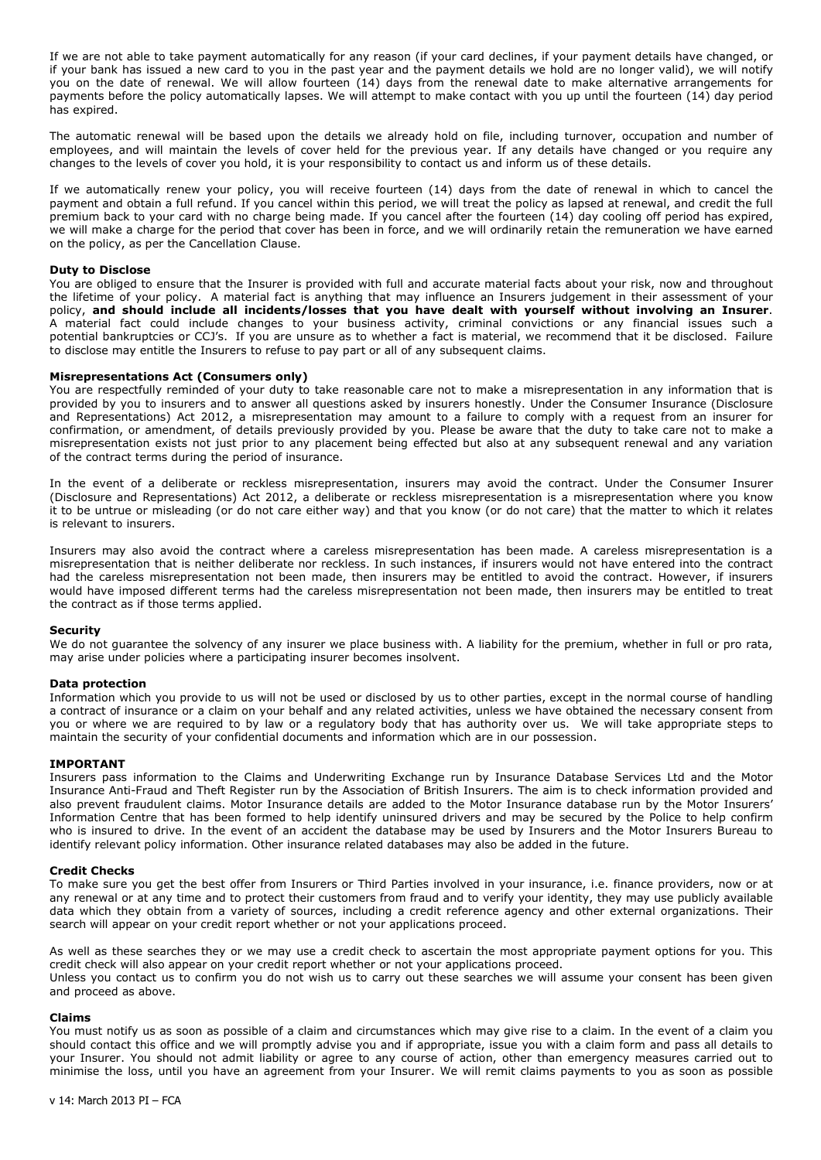If we are not able to take payment automatically for any reason (if your card declines, if your payment details have changed, or if your bank has issued a new card to you in the past year and the payment details we hold are no longer valid), we will notify you on the date of renewal. We will allow fourteen (14) days from the renewal date to make alternative arrangements for payments before the policy automatically lapses. We will attempt to make contact with you up until the fourteen (14) day period has expired.

The automatic renewal will be based upon the details we already hold on file, including turnover, occupation and number of employees, and will maintain the levels of cover held for the previous year. If any details have changed or you require any changes to the levels of cover you hold, it is your responsibility to contact us and inform us of these details.

If we automatically renew your policy, you will receive fourteen (14) days from the date of renewal in which to cancel the payment and obtain a full refund. If you cancel within this period, we will treat the policy as lapsed at renewal, and credit the full premium back to your card with no charge being made. If you cancel after the fourteen (14) day cooling off period has expired, we will make a charge for the period that cover has been in force, and we will ordinarily retain the remuneration we have earned on the policy, as per the Cancellation Clause.

#### Duty to Disclose

You are obliged to ensure that the Insurer is provided with full and accurate material facts about your risk, now and throughout the lifetime of your policy. A material fact is anything that may influence an Insurers judgement in their assessment of your policy, and should include all incidents/losses that you have dealt with yourself without involving an Insurer. A material fact could include changes to your business activity, criminal convictions or any financial issues such a potential bankruptcies or CCJ's. If you are unsure as to whether a fact is material, we recommend that it be disclosed. Failure to disclose may entitle the Insurers to refuse to pay part or all of any subsequent claims.

#### Misrepresentations Act (Consumers only)

You are respectfully reminded of your duty to take reasonable care not to make a misrepresentation in any information that is provided by you to insurers and to answer all questions asked by insurers honestly. Under the Consumer Insurance (Disclosure and Representations) Act 2012, a misrepresentation may amount to a failure to comply with a request from an insurer for confirmation, or amendment, of details previously provided by you. Please be aware that the duty to take care not to make a misrepresentation exists not just prior to any placement being effected but also at any subsequent renewal and any variation of the contract terms during the period of insurance.

In the event of a deliberate or reckless misrepresentation, insurers may avoid the contract. Under the Consumer Insurer (Disclosure and Representations) Act 2012, a deliberate or reckless misrepresentation is a misrepresentation where you know it to be untrue or misleading (or do not care either way) and that you know (or do not care) that the matter to which it relates is relevant to insurers.

Insurers may also avoid the contract where a careless misrepresentation has been made. A careless misrepresentation is a misrepresentation that is neither deliberate nor reckless. In such instances, if insurers would not have entered into the contract had the careless misrepresentation not been made, then insurers may be entitled to avoid the contract. However, if insurers would have imposed different terms had the careless misrepresentation not been made, then insurers may be entitled to treat the contract as if those terms applied.

#### Security

We do not quarantee the solvency of any insurer we place business with. A liability for the premium, whether in full or pro rata, may arise under policies where a participating insurer becomes insolvent.

### Data protection

Information which you provide to us will not be used or disclosed by us to other parties, except in the normal course of handling a contract of insurance or a claim on your behalf and any related activities, unless we have obtained the necessary consent from you or where we are required to by law or a regulatory body that has authority over us. We will take appropriate steps to maintain the security of your confidential documents and information which are in our possession.

#### IMPORTANT

Insurers pass information to the Claims and Underwriting Exchange run by Insurance Database Services Ltd and the Motor Insurance Anti-Fraud and Theft Register run by the Association of British Insurers. The aim is to check information provided and also prevent fraudulent claims. Motor Insurance details are added to the Motor Insurance database run by the Motor Insurers' Information Centre that has been formed to help identify uninsured drivers and may be secured by the Police to help confirm who is insured to drive. In the event of an accident the database may be used by Insurers and the Motor Insurers Bureau to identify relevant policy information. Other insurance related databases may also be added in the future.

### Credit Checks

To make sure you get the best offer from Insurers or Third Parties involved in your insurance, i.e. finance providers, now or at any renewal or at any time and to protect their customers from fraud and to verify your identity, they may use publicly available data which they obtain from a variety of sources, including a credit reference agency and other external organizations. Their search will appear on your credit report whether or not your applications proceed.

As well as these searches they or we may use a credit check to ascertain the most appropriate payment options for you. This credit check will also appear on your credit report whether or not your applications proceed. Unless you contact us to confirm you do not wish us to carry out these searches we will assume your consent has been given and proceed as above.

#### Claims

You must notify us as soon as possible of a claim and circumstances which may give rise to a claim. In the event of a claim you should contact this office and we will promptly advise you and if appropriate, issue you with a claim form and pass all details to your Insurer. You should not admit liability or agree to any course of action, other than emergency measures carried out to minimise the loss, until you have an agreement from your Insurer. We will remit claims payments to you as soon as possible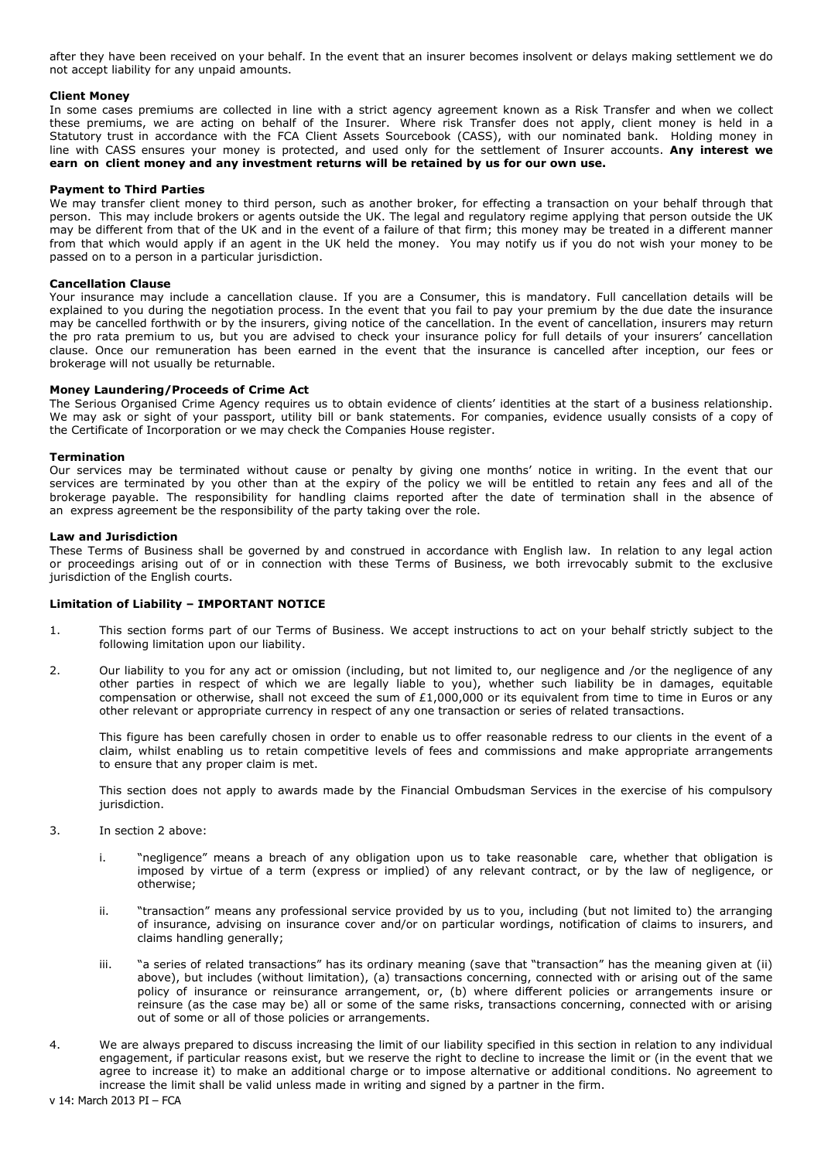after they have been received on your behalf. In the event that an insurer becomes insolvent or delays making settlement we do not accept liability for any unpaid amounts.

# Client Money

In some cases premiums are collected in line with a strict agency agreement known as a Risk Transfer and when we collect these premiums, we are acting on behalf of the Insurer. Where risk Transfer does not apply, client money is held in a Statutory trust in accordance with the FCA Client Assets Sourcebook (CASS), with our nominated bank. Holding money in line with CASS ensures your money is protected, and used only for the settlement of Insurer accounts. Any interest we earn on client money and any investment returns will be retained by us for our own use.

### Payment to Third Parties

We may transfer client money to third person, such as another broker, for effecting a transaction on your behalf through that person. This may include brokers or agents outside the UK. The legal and regulatory regime applying that person outside the UK may be different from that of the UK and in the event of a failure of that firm; this money may be treated in a different manner from that which would apply if an agent in the UK held the money. You may notify us if you do not wish your money to be passed on to a person in a particular jurisdiction.

# Cancellation Clause

Your insurance may include a cancellation clause. If you are a Consumer, this is mandatory. Full cancellation details will be explained to you during the negotiation process. In the event that you fail to pay your premium by the due date the insurance may be cancelled forthwith or by the insurers, giving notice of the cancellation. In the event of cancellation, insurers may return the pro rata premium to us, but you are advised to check your insurance policy for full details of your insurers' cancellation clause. Once our remuneration has been earned in the event that the insurance is cancelled after inception, our fees or brokerage will not usually be returnable.

#### Money Laundering/Proceeds of Crime Act

The Serious Organised Crime Agency requires us to obtain evidence of clients' identities at the start of a business relationship. We may ask or sight of your passport, utility bill or bank statements. For companies, evidence usually consists of a copy of the Certificate of Incorporation or we may check the Companies House register.

# Termination

Our services may be terminated without cause or penalty by giving one months' notice in writing. In the event that our services are terminated by you other than at the expiry of the policy we will be entitled to retain any fees and all of the brokerage payable. The responsibility for handling claims reported after the date of termination shall in the absence of an express agreement be the responsibility of the party taking over the role.

# Law and Jurisdiction

These Terms of Business shall be governed by and construed in accordance with English law. In relation to any legal action or proceedings arising out of or in connection with these Terms of Business, we both irrevocably submit to the exclusive jurisdiction of the English courts.

# Limitation of Liability – IMPORTANT NOTICE

- 1. This section forms part of our Terms of Business. We accept instructions to act on your behalf strictly subject to the following limitation upon our liability.
- 2. Our liability to you for any act or omission (including, but not limited to, our negligence and /or the negligence of any other parties in respect of which we are legally liable to you), whether such liability be in damages, equitable compensation or otherwise, shall not exceed the sum of  $£1,000,000$  or its equivalent from time to time in Euros or any other relevant or appropriate currency in respect of any one transaction or series of related transactions.

This figure has been carefully chosen in order to enable us to offer reasonable redress to our clients in the event of a claim, whilst enabling us to retain competitive levels of fees and commissions and make appropriate arrangements to ensure that any proper claim is met.

This section does not apply to awards made by the Financial Ombudsman Services in the exercise of his compulsory jurisdiction.

- 3. In section 2 above:
	- i. "negligence" means a breach of any obligation upon us to take reasonable care, whether that obligation is imposed by virtue of a term (express or implied) of any relevant contract, or by the law of negligence, or otherwise;
	- ii. "transaction" means any professional service provided by us to you, including (but not limited to) the arranging of insurance, advising on insurance cover and/or on particular wordings, notification of claims to insurers, and claims handling generally;
	- iii. "a series of related transactions" has its ordinary meaning (save that "transaction" has the meaning given at (ii) above), but includes (without limitation), (a) transactions concerning, connected with or arising out of the same policy of insurance or reinsurance arrangement, or, (b) where different policies or arrangements insure or reinsure (as the case may be) all or some of the same risks, transactions concerning, connected with or arising out of some or all of those policies or arrangements.
- 4. We are always prepared to discuss increasing the limit of our liability specified in this section in relation to any individual engagement, if particular reasons exist, but we reserve the right to decline to increase the limit or (in the event that we agree to increase it) to make an additional charge or to impose alternative or additional conditions. No agreement to increase the limit shall be valid unless made in writing and signed by a partner in the firm.